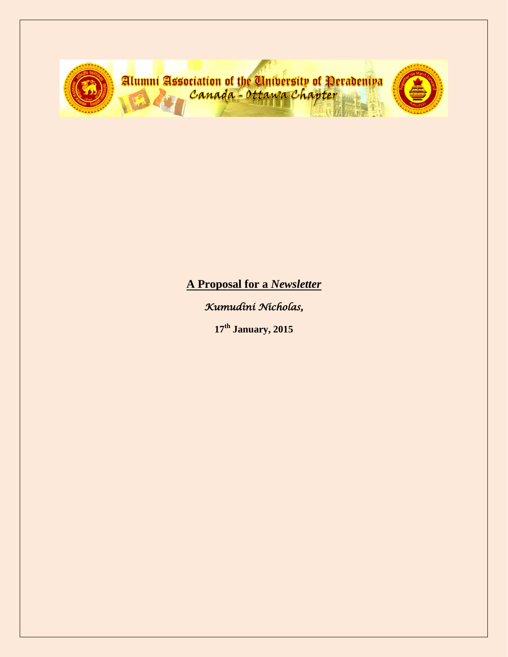

**A Proposal for a** *Newsletter*

*Kumudini Nicholas,* 

**17th January, 2015**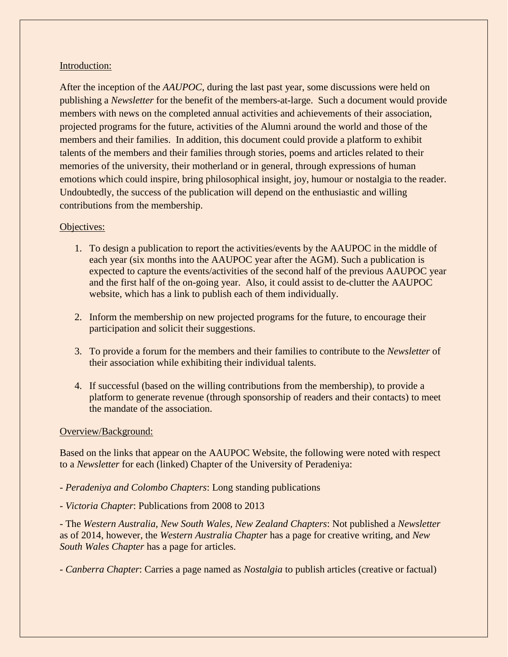## Introduction:

After the inception of the *AAUPOC*, during the last past year, some discussions were held on publishing a *Newsletter* for the benefit of the members-at-large. Such a document would provide members with news on the completed annual activities and achievements of their association, projected programs for the future, activities of the Alumni around the world and those of the members and their families. In addition, this document could provide a platform to exhibit talents of the members and their families through stories, poems and articles related to their memories of the university, their motherland or in general, through expressions of human emotions which could inspire, bring philosophical insight, joy, humour or nostalgia to the reader. Undoubtedly, the success of the publication will depend on the enthusiastic and willing contributions from the membership.

# Objectives:

- 1. To design a publication to report the activities/events by the AAUPOC in the middle of each year (six months into the AAUPOC year after the AGM). Such a publication is expected to capture the events/activities of the second half of the previous AAUPOC year and the first half of the on-going year. Also, it could assist to de-clutter the AAUPOC website, which has a link to publish each of them individually.
- 2. Inform the membership on new projected programs for the future, to encourage their participation and solicit their suggestions.
- 3. To provide a forum for the members and their families to contribute to the *Newsletter* of their association while exhibiting their individual talents.
- 4. If successful (based on the willing contributions from the membership), to provide a platform to generate revenue (through sponsorship of readers and their contacts) to meet the mandate of the association.

## Overview/Background:

Based on the links that appear on the AAUPOC Website, the following were noted with respect to a *Newsletter* for each (linked) Chapter of the University of Peradeniya:

- *- Peradeniya and Colombo Chapters*: Long standing publications
- *- Victoria Chapter*: Publications from 2008 to 2013

*-* The *Western Australia, New South Wales, New Zealand Chapters*: Not published a *Newsletter*  as of 2014, however, the *Western Australia Chapter* has a page for creative writing, and *New South Wales Chapter* has a page for articles.

*- Canberra Chapter*: Carries a page named as *Nostalgia* to publish articles (creative or factual)